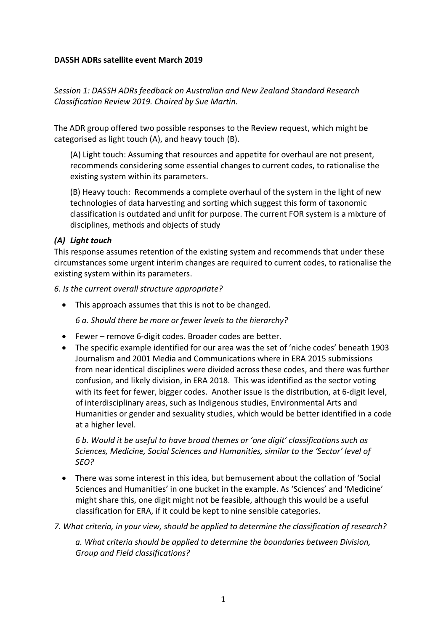#### **DASSH ADRs satellite event March 2019**

*Session 1: DASSH ADRs feedback on Australian and New Zealand Standard Research Classification Review 2019. Chaired by Sue Martin.*

The ADR group offered two possible responses to the Review request, which might be categorised as light touch (A), and heavy touch (B).

(A) Light touch: Assuming that resources and appetite for overhaul are not present, recommends considering some essential changes to current codes, to rationalise the existing system within its parameters.

(B) Heavy touch: Recommends a complete overhaul of the system in the light of new technologies of data harvesting and sorting which suggest this form of taxonomic classification is outdated and unfit for purpose. The current FOR system is a mixture of disciplines, methods and objects of study

## *(A) Light touch*

This response assumes retention of the existing system and recommends that under these circumstances some urgent interim changes are required to current codes, to rationalise the existing system within its parameters.

*6. Is the current overall structure appropriate?* 

• This approach assumes that this is not to be changed.

*6 a. Should there be more or fewer levels to the hierarchy?* 

- Fewer remove 6-digit codes. Broader codes are better.
- The specific example identified for our area was the set of 'niche codes' beneath 1903 Journalism and 2001 Media and Communications where in ERA 2015 submissions from near identical disciplines were divided across these codes, and there was further confusion, and likely division, in ERA 2018. This was identified as the sector voting with its feet for fewer, bigger codes. Another issue is the distribution, at 6-digit level, of interdisciplinary areas, such as Indigenous studies, Environmental Arts and Humanities or gender and sexuality studies, which would be better identified in a code at a higher level.

*6 b. Would it be useful to have broad themes or 'one digit' classifications such as Sciences, Medicine, Social Sciences and Humanities, similar to the 'Sector' level of SEO?* 

- There was some interest in this idea, but bemusement about the collation of 'Social Sciences and Humanities' in one bucket in the example. As 'Sciences' and 'Medicine' might share this, one digit might not be feasible, although this would be a useful classification for ERA, if it could be kept to nine sensible categories.
- *7. What criteria, in your view, should be applied to determine the classification of research?*

*a. What criteria should be applied to determine the boundaries between Division, Group and Field classifications?*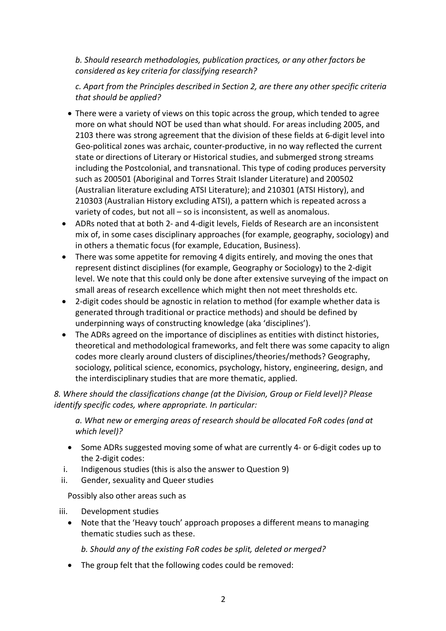*b. Should research methodologies, publication practices, or any other factors be considered as key criteria for classifying research?* 

*c. Apart from the Principles described in Section 2, are there any other specific criteria that should be applied?* 

- There were a variety of views on this topic across the group, which tended to agree more on what should NOT be used than what should. For areas including 2005, and 2103 there was strong agreement that the division of these fields at 6-digit level into Geo-political zones was archaic, counter-productive, in no way reflected the current state or directions of Literary or Historical studies, and submerged strong streams including the Postcolonial, and transnational. This type of coding produces perversity such as 200501 (Aboriginal and Torres Strait Islander Literature) and 200502 (Australian literature excluding ATSI Literature); and 210301 (ATSI History), and 210303 (Australian History excluding ATSI), a pattern which is repeated across a variety of codes, but not all – so is inconsistent, as well as anomalous.
- ADRs noted that at both 2- and 4-digit levels, Fields of Research are an inconsistent mix of, in some cases disciplinary approaches (for example, geography, sociology) and in others a thematic focus (for example, Education, Business).
- There was some appetite for removing 4 digits entirely, and moving the ones that represent distinct disciplines (for example, Geography or Sociology) to the 2-digit level. We note that this could only be done after extensive surveying of the impact on small areas of research excellence which might then not meet thresholds etc.
- 2-digit codes should be agnostic in relation to method (for example whether data is generated through traditional or practice methods) and should be defined by underpinning ways of constructing knowledge (aka 'disciplines').
- The ADRs agreed on the importance of disciplines as entities with distinct histories, theoretical and methodological frameworks, and felt there was some capacity to align codes more clearly around clusters of disciplines/theories/methods? Geography, sociology, political science, economics, psychology, history, engineering, design, and the interdisciplinary studies that are more thematic, applied.

*8. Where should the classifications change (at the Division, Group or Field level)? Please identify specific codes, where appropriate. In particular:* 

*a. What new or emerging areas of research should be allocated FoR codes (and at which level)?* 

- Some ADRs suggested moving some of what are currently 4- or 6-digit codes up to the 2-digit codes:
- i. Indigenous studies (this is also the answer to Question 9)
- ii. Gender, sexuality and Queer studies

Possibly also other areas such as

iii. Development studies

• Note that the 'Heavy touch' approach proposes a different means to managing thematic studies such as these.

*b. Should any of the existing FoR codes be split, deleted or merged?* 

• The group felt that the following codes could be removed: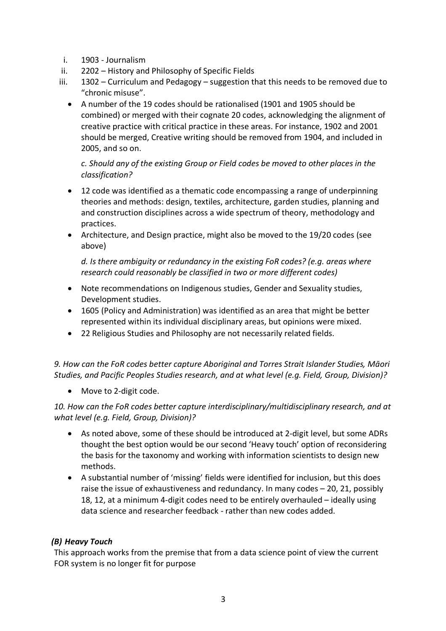- i. 1903 Journalism
- ii. 2202 History and Philosophy of Specific Fields
- iii. 1302 Curriculum and Pedagogy suggestion that this needs to be removed due to "chronic misuse".
	- A number of the 19 codes should be rationalised (1901 and 1905 should be combined) or merged with their cognate 20 codes, acknowledging the alignment of creative practice with critical practice in these areas. For instance, 1902 and 2001 should be merged, Creative writing should be removed from 1904, and included in 2005, and so on.

*c. Should any of the existing Group or Field codes be moved to other places in the classification?* 

- 12 code was identified as a thematic code encompassing a range of underpinning theories and methods: design, textiles, architecture, garden studies, planning and and construction disciplines across a wide spectrum of theory, methodology and practices.
- Architecture, and Design practice, might also be moved to the 19/20 codes (see above)

*d. Is there ambiguity or redundancy in the existing FoR codes? (e.g. areas where research could reasonably be classified in two or more different codes)* 

- Note recommendations on Indigenous studies, Gender and Sexuality studies, Development studies.
- 1605 (Policy and Administration) was identified as an area that might be better represented within its individual disciplinary areas, but opinions were mixed.
- 22 Religious Studies and Philosophy are not necessarily related fields.

*9. How can the FoR codes better capture Aboriginal and Torres Strait Islander Studies, Māori Studies, and Pacific Peoples Studies research, and at what level (e.g. Field, Group, Division)?* 

• Move to 2-digit code.

*10. How can the FoR codes better capture interdisciplinary/multidisciplinary research, and at what level (e.g. Field, Group, Division)?* 

- As noted above, some of these should be introduced at 2-digit level, but some ADRs thought the best option would be our second 'Heavy touch' option of reconsidering the basis for the taxonomy and working with information scientists to design new methods.
- A substantial number of 'missing' fields were identified for inclusion, but this does raise the issue of exhaustiveness and redundancy. In many codes – 20, 21, possibly 18, 12, at a minimum 4-digit codes need to be entirely overhauled – ideally using data science and researcher feedback - rather than new codes added.

## *(B) Heavy Touch*

This approach works from the premise that from a data science point of view the current FOR system is no longer fit for purpose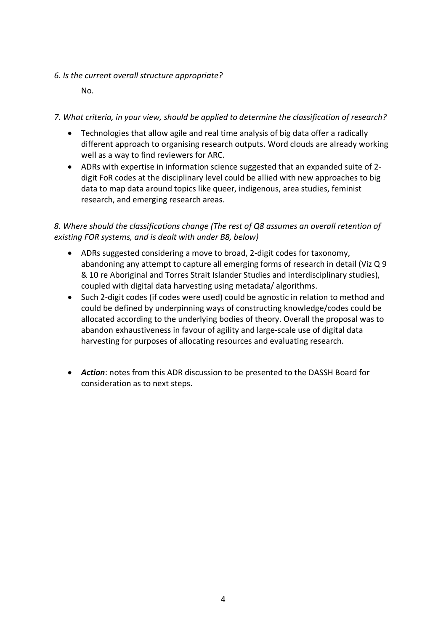### *6. Is the current overall structure appropriate?*

No.

## *7. What criteria, in your view, should be applied to determine the classification of research?*

- Technologies that allow agile and real time analysis of big data offer a radically different approach to organising research outputs. Word clouds are already working well as a way to find reviewers for ARC.
- ADRs with expertise in information science suggested that an expanded suite of 2 digit FoR codes at the disciplinary level could be allied with new approaches to big data to map data around topics like queer, indigenous, area studies, feminist research, and emerging research areas.

# *8. Where should the classifications change (The rest of Q8 assumes an overall retention of existing FOR systems, and is dealt with under B8, below)*

- ADRs suggested considering a move to broad, 2-digit codes for taxonomy, abandoning any attempt to capture all emerging forms of research in detail (Viz Q 9 & 10 re Aboriginal and Torres Strait Islander Studies and interdisciplinary studies), coupled with digital data harvesting using metadata/ algorithms.
- Such 2-digit codes (if codes were used) could be agnostic in relation to method and could be defined by underpinning ways of constructing knowledge/codes could be allocated according to the underlying bodies of theory. Overall the proposal was to abandon exhaustiveness in favour of agility and large-scale use of digital data harvesting for purposes of allocating resources and evaluating research.
- *Action*: notes from this ADR discussion to be presented to the DASSH Board for consideration as to next steps.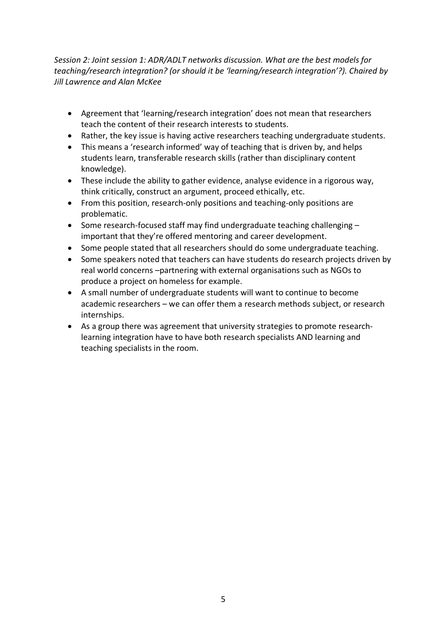*Session 2: Joint session 1: ADR/ADLT networks discussion. What are the best models for teaching/research integration? (or should it be 'learning/research integration'?). Chaired by Jill Lawrence and Alan McKee*

- Agreement that 'learning/research integration' does not mean that researchers teach the content of their research interests to students.
- Rather, the key issue is having active researchers teaching undergraduate students.
- This means a 'research informed' way of teaching that is driven by, and helps students learn, transferable research skills (rather than disciplinary content knowledge).
- These include the ability to gather evidence, analyse evidence in a rigorous way, think critically, construct an argument, proceed ethically, etc.
- From this position, research-only positions and teaching-only positions are problematic.
- Some research-focused staff may find undergraduate teaching challenging important that they're offered mentoring and career development.
- Some people stated that all researchers should do some undergraduate teaching.
- Some speakers noted that teachers can have students do research projects driven by real world concerns –partnering with external organisations such as NGOs to produce a project on homeless for example.
- A small number of undergraduate students will want to continue to become academic researchers – we can offer them a research methods subject, or research internships.
- As a group there was agreement that university strategies to promote researchlearning integration have to have both research specialists AND learning and teaching specialists in the room.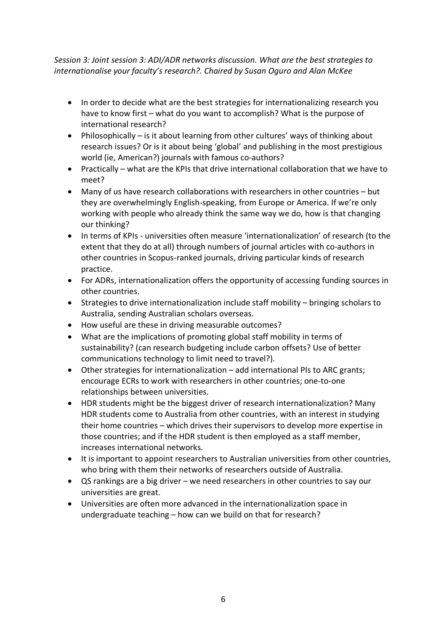*Session 3: Joint session 3: ADI/ADR networks discussion. What are the best strategies to internationalise your faculty's research?. Chaired by Susan Oguro and Alan McKee* 

- In order to decide what are the best strategies for internationalizing research you have to know first – what do you want to accomplish? What is the purpose of international research?
- Philosophically is it about learning from other cultures' ways of thinking about research issues? Or is it about being 'global' and publishing in the most prestigious world (ie, American?) journals with famous co-authors?
- Practically what are the KPIs that drive international collaboration that we have to meet?
- Many of us have research collaborations with researchers in other countries but they are overwhelmingly English-speaking, from Europe or America. If we're only working with people who already think the same way we do, how is that changing our thinking?
- In terms of KPIs universities often measure 'internationalization' of research (to the extent that they do at all) through numbers of journal articles with co-authors in other countries in Scopus-ranked journals, driving particular kinds of research practice.
- For ADRs, internationalization offers the opportunity of accessing funding sources in other countries.
- Strategies to drive internationalization include staff mobility bringing scholars to Australia, sending Australian scholars overseas.
- How useful are these in driving measurable outcomes?
- What are the implications of promoting global staff mobility in terms of sustainability? (can research budgeting include carbon offsets? Use of better communications technology to limit need to travel?).
- Other strategies for internationalization add international PIs to ARC grants; encourage ECRs to work with researchers in other countries; one-to-one relationships between universities.
- HDR students might be the biggest driver of research internationalization? Many HDR students come to Australia from other countries, with an interest in studying their home countries – which drives their supervisors to develop more expertise in those countries; and if the HDR student is then employed as a staff member, increases international networks.
- It is important to appoint researchers to Australian universities from other countries, who bring with them their networks of researchers outside of Australia.
- QS rankings are a big driver we need researchers in other countries to say our universities are great.
- Universities are often more advanced in the internationalization space in undergraduate teaching – how can we build on that for research?